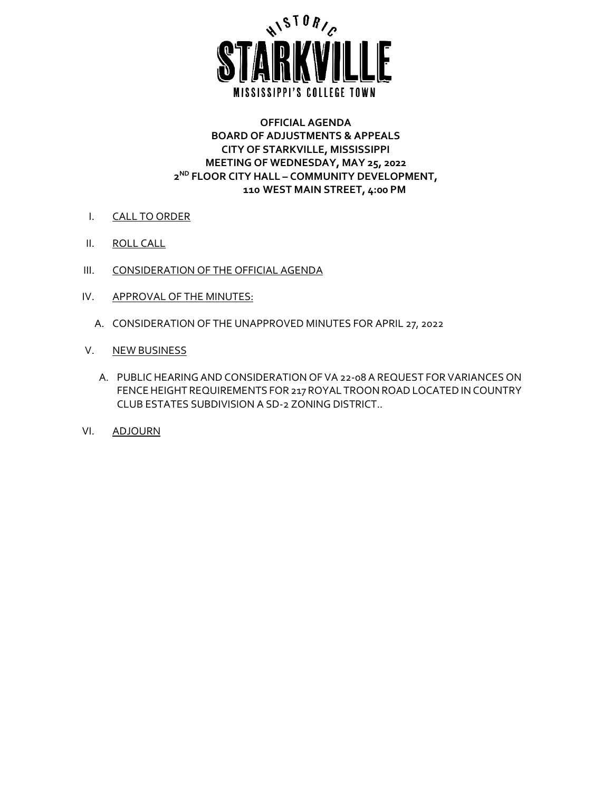

#### **OFFICIAL AGENDA BOARD OF ADJUSTMENTS & APPEALS CITY OF STARKVILLE, MISSISSIPPI MEETING OF WEDNESDAY, MAY 25, 2022 2ND FLOOR CITY HALL – COMMUNITY DEVELOPMENT, 110 WEST MAIN STREET, 4:00 PM**

- I. CALL TO ORDER
- II. ROLL CALL
- III. CONSIDERATION OF THE OFFICIAL AGENDA
- IV. APPROVAL OF THE MINUTES:
	- A. CONSIDERATION OF THE UNAPPROVED MINUTES FOR APRIL 27, 2022
- V. NEW BUSINESS
	- A. PUBLIC HEARING AND CONSIDERATION OF VA 22-08 A REQUEST FOR VARIANCES ON FENCE HEIGHT REQUIREMENTS FOR 217 ROYAL TROON ROAD LOCATED IN COUNTRY CLUB ESTATES SUBDIVISION A SD-2 ZONING DISTRICT..
- VI. ADJOURN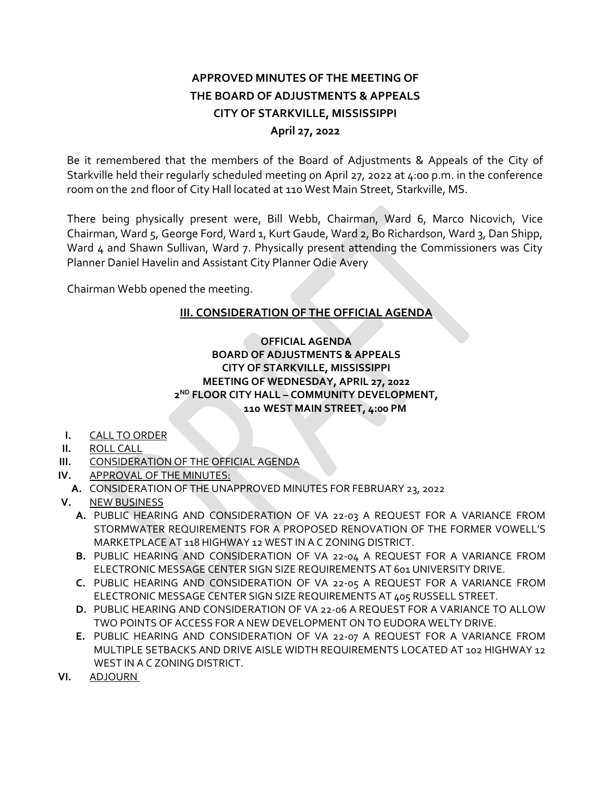# **APPROVED MINUTES OF THE MEETING OF THE BOARD OF ADJUSTMENTS & APPEALS CITY OF STARKVILLE, MISSISSIPPI April 27, 2022**

Be it remembered that the members of the Board of Adjustments & Appeals of the City of Starkville held their regularly scheduled meeting on April 27, 2022 at 4:00 p.m. in the conference room on the 2nd floor of City Hall located at 110 West Main Street, Starkville, MS.

There being physically present were, Bill Webb, Chairman, Ward 6, Marco Nicovich, Vice Chairman, Ward 5, George Ford, Ward 1, Kurt Gaude, Ward 2, Bo Richardson, Ward 3, Dan Shipp, Ward 4 and Shawn Sullivan, Ward 7. Physically present attending the Commissioners was City Planner Daniel Havelin and Assistant City Planner Odie Avery

Chairman Webb opened the meeting.

## **III. CONSIDERATION OF THE OFFICIAL AGENDA**

### **OFFICIAL AGENDA BOARD OF ADJUSTMENTS & APPEALS CITY OF STARKVILLE, MISSISSIPPI MEETING OF WEDNESDAY, APRIL 27, 2022 2ND FLOOR CITY HALL – COMMUNITY DEVELOPMENT, 110 WEST MAIN STREET, 4:00 PM**

- **I.** CALL TO ORDER
- **II.** ROLL CALL
- **III.** CONSIDERATION OF THE OFFICIAL AGENDA
- **IV.** APPROVAL OF THE MINUTES:
	- **A.** CONSIDERATION OF THE UNAPPROVED MINUTES FOR FEBRUARY 23, 2022
- **V.** NEW BUSINESS
	- **A.** PUBLIC HEARING AND CONSIDERATION OF VA 22-03 A REQUEST FOR A VARIANCE FROM STORMWATER REQUIREMENTS FOR A PROPOSED RENOVATION OF THE FORMER VOWELL'S MARKETPLACE AT 118 HIGHWAY 12 WEST IN A C ZONING DISTRICT.
	- **B.** PUBLIC HEARING AND CONSIDERATION OF VA 22-04 A REQUEST FOR A VARIANCE FROM ELECTRONIC MESSAGE CENTER SIGN SIZE REQUIREMENTS AT 601 UNIVERSITY DRIVE.
	- **C.** PUBLIC HEARING AND CONSIDERATION OF VA 22-05 A REQUEST FOR A VARIANCE FROM ELECTRONIC MESSAGE CENTER SIGN SIZE REQUIREMENTS AT 405 RUSSELL STREET.
	- **D.** PUBLIC HEARING AND CONSIDERATION OF VA 22-06 A REQUEST FOR A VARIANCE TO ALLOW TWO POINTS OF ACCESS FOR A NEW DEVELOPMENT ON TO EUDORA WELTY DRIVE.
	- **E.** PUBLIC HEARING AND CONSIDERATION OF VA 22-07 A REQUEST FOR A VARIANCE FROM MULTIPLE SETBACKS AND DRIVE AISLE WIDTH REQUIREMENTS LOCATED AT 102 HIGHWAY 12 WEST IN A C ZONING DISTRICT.
- **VI.** ADJOURN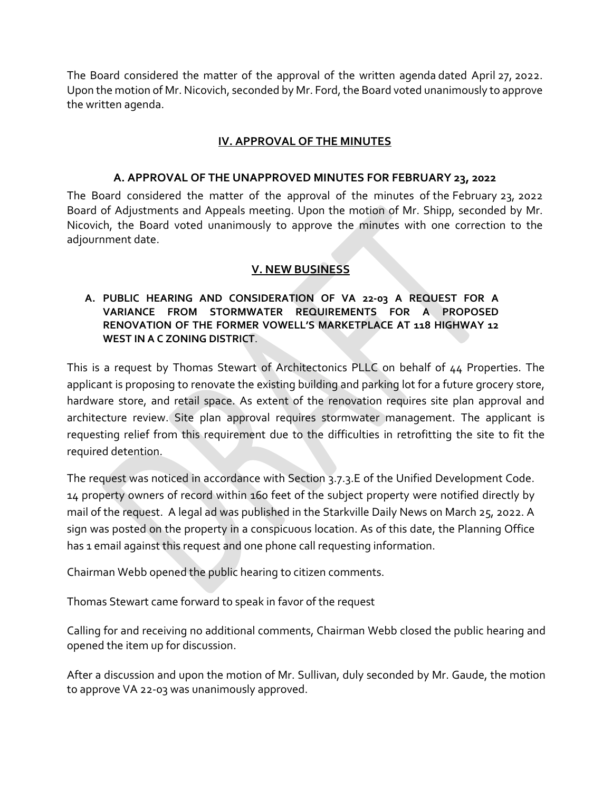The Board considered the matter of the approval of the written agenda dated April 27, 2022. Upon the motion of Mr. Nicovich, seconded by Mr. Ford, the Board voted unanimously to approve the written agenda.

## **IV. APPROVAL OF THE MINUTES**

#### **A. APPROVAL OF THE UNAPPROVED MINUTES FOR FEBRUARY 23, 2022**

The Board considered the matter of the approval of the minutes of the February 23, 2022 Board of Adjustments and Appeals meeting. Upon the motion of Mr. Shipp, seconded by Mr. Nicovich, the Board voted unanimously to approve the minutes with one correction to the adjournment date.

### **V. NEW BUSINESS**

### **A. PUBLIC HEARING AND CONSIDERATION OF VA 22-03 A REQUEST FOR A VARIANCE FROM STORMWATER REQUIREMENTS FOR A PROPOSED RENOVATION OF THE FORMER VOWELL'S MARKETPLACE AT 118 HIGHWAY 12 WEST IN A C ZONING DISTRICT**.

This is a request by Thomas Stewart of Architectonics PLLC on behalf of 44 Properties. The applicant is proposing to renovate the existing building and parking lot for a future grocery store, hardware store, and retail space. As extent of the renovation requires site plan approval and architecture review. Site plan approval requires stormwater management. The applicant is requesting relief from this requirement due to the difficulties in retrofitting the site to fit the required detention.

The request was noticed in accordance with Section 3.7.3.E of the Unified Development Code. 14 property owners of record within 160 feet of the subject property were notified directly by mail of the request. A legal ad was published in the Starkville Daily News on March 25, 2022. A sign was posted on the property in a conspicuous location. As of this date, the Planning Office has 1 email against this request and one phone call requesting information.

Chairman Webb opened the public hearing to citizen comments.

Thomas Stewart came forward to speak in favor of the request

Calling for and receiving no additional comments, Chairman Webb closed the public hearing and opened the item up for discussion.

After a discussion and upon the motion of Mr. Sullivan, duly seconded by Mr. Gaude, the motion to approve VA 22-03 was unanimously approved.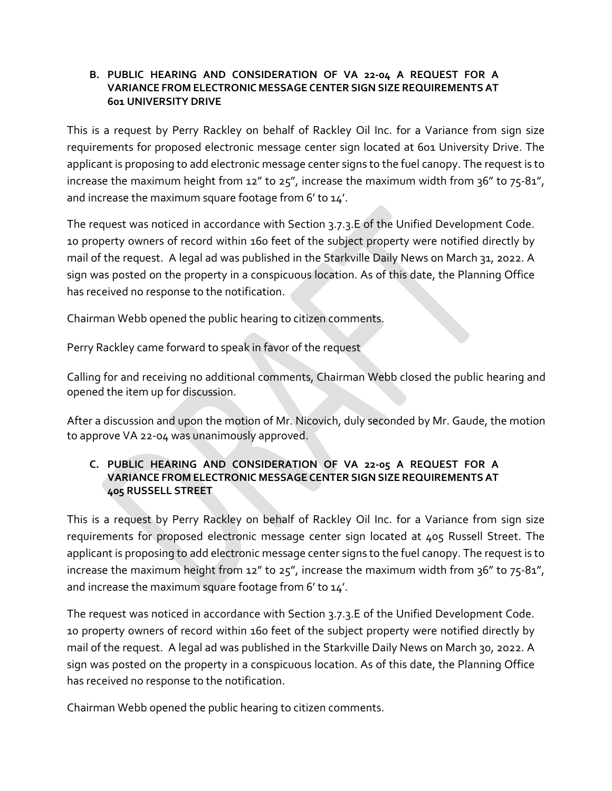#### **B. PUBLIC HEARING AND CONSIDERATION OF VA 22-04 A REQUEST FOR A VARIANCE FROM ELECTRONIC MESSAGE CENTER SIGN SIZE REQUIREMENTS AT 601 UNIVERSITY DRIVE**

This is a request by Perry Rackley on behalf of Rackley Oil Inc. for a Variance from sign size requirements for proposed electronic message center sign located at 601 University Drive. The applicant is proposing to add electronic message center signs to the fuel canopy. The request is to increase the maximum height from  $12''$  to  $25''$ , increase the maximum width from  $36''$  to  $75-81''$ , and increase the maximum square footage from 6' to 14'.

The request was noticed in accordance with Section 3.7.3.E of the Unified Development Code. 10 property owners of record within 160 feet of the subject property were notified directly by mail of the request. A legal ad was published in the Starkville Daily News on March 31, 2022. A sign was posted on the property in a conspicuous location. As of this date, the Planning Office has received no response to the notification.

Chairman Webb opened the public hearing to citizen comments.

Perry Rackley came forward to speak in favor of the request

Calling for and receiving no additional comments, Chairman Webb closed the public hearing and opened the item up for discussion.

After a discussion and upon the motion of Mr. Nicovich, duly seconded by Mr. Gaude, the motion to approve VA 22-04 was unanimously approved.

## **C. PUBLIC HEARING AND CONSIDERATION OF VA 22-05 A REQUEST FOR A VARIANCE FROM ELECTRONIC MESSAGE CENTER SIGN SIZE REQUIREMENTS AT 405 RUSSELL STREET**

This is a request by Perry Rackley on behalf of Rackley Oil Inc. for a Variance from sign size requirements for proposed electronic message center sign located at 405 Russell Street. The applicant is proposing to add electronic message center signs to the fuel canopy. The request is to increase the maximum height from 12" to 25", increase the maximum width from 36" to 75-81", and increase the maximum square footage from 6' to 14'.

The request was noticed in accordance with Section 3.7.3.E of the Unified Development Code. 10 property owners of record within 160 feet of the subject property were notified directly by mail of the request. A legal ad was published in the Starkville Daily News on March 30, 2022. A sign was posted on the property in a conspicuous location. As of this date, the Planning Office has received no response to the notification.

Chairman Webb opened the public hearing to citizen comments.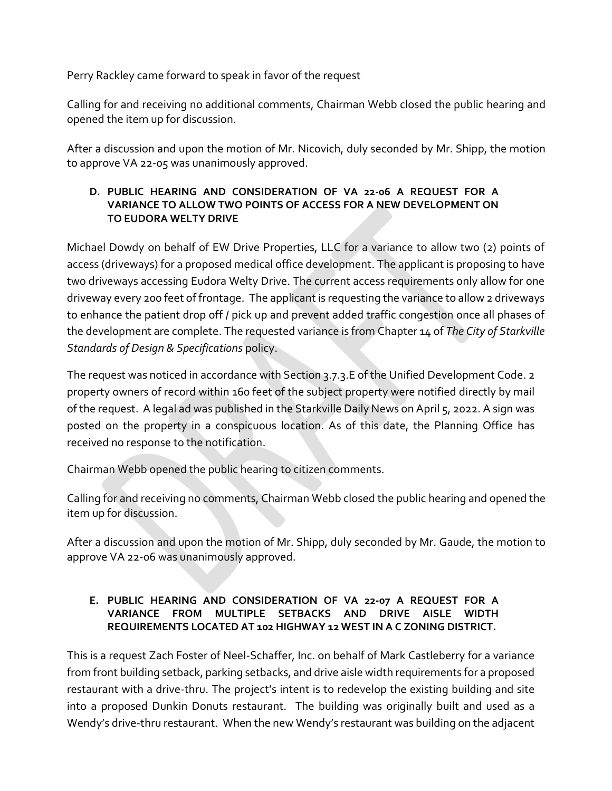Perry Rackley came forward to speak in favor of the request

Calling for and receiving no additional comments, Chairman Webb closed the public hearing and opened the item up for discussion.

After a discussion and upon the motion of Mr. Nicovich, duly seconded by Mr. Shipp, the motion to approve VA 22-05 was unanimously approved.

## **D. PUBLIC HEARING AND CONSIDERATION OF VA 22-06 A REQUEST FOR A VARIANCE TO ALLOW TWO POINTS OF ACCESS FOR A NEW DEVELOPMENT ON TO EUDORA WELTY DRIVE**

Michael Dowdy on behalf of EW Drive Properties, LLC for a variance to allow two (2) points of access (driveways) for a proposed medical office development. The applicant is proposing to have two driveways accessing Eudora Welty Drive. The current access requirements only allow for one driveway every 200 feet of frontage. The applicant is requesting the variance to allow 2 driveways to enhance the patient drop off / pick up and prevent added traffic congestion once all phases of the development are complete. The requested variance is from Chapter 14 of *The City of Starkville Standards of Design & Specifications* policy.

The request was noticed in accordance with Section 3.7.3.E of the Unified Development Code. 2 property owners of record within 160 feet of the subject property were notified directly by mail of the request. A legal ad was published in the Starkville Daily News on April 5, 2022. A sign was posted on the property in a conspicuous location. As of this date, the Planning Office has received no response to the notification.

Chairman Webb opened the public hearing to citizen comments.

Calling for and receiving no comments, Chairman Webb closed the public hearing and opened the item up for discussion.

After a discussion and upon the motion of Mr. Shipp, duly seconded by Mr. Gaude, the motion to approve VA 22-06 was unanimously approved.

## **E. PUBLIC HEARING AND CONSIDERATION OF VA 22-07 A REQUEST FOR A VARIANCE FROM MULTIPLE SETBACKS AND DRIVE AISLE WIDTH REQUIREMENTS LOCATED AT 102 HIGHWAY 12 WEST IN A C ZONING DISTRICT.**

This is a request Zach Foster of Neel-Schaffer, Inc. on behalf of Mark Castleberry for a variance from front building setback, parking setbacks, and drive aisle width requirements for a proposed restaurant with a drive-thru. The project's intent is to redevelop the existing building and site into a proposed Dunkin Donuts restaurant. The building was originally built and used as a Wendy's drive-thru restaurant. When the new Wendy's restaurant was building on the adjacent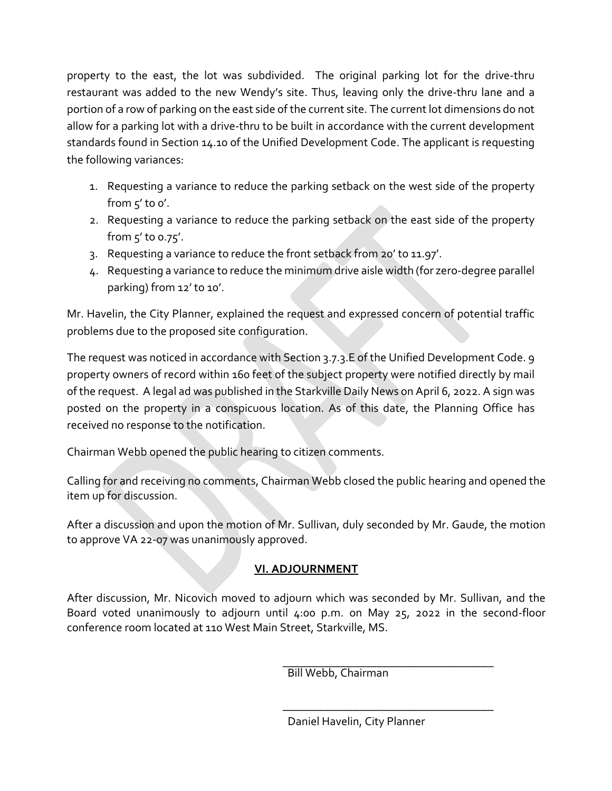property to the east, the lot was subdivided. The original parking lot for the drive-thru restaurant was added to the new Wendy's site. Thus, leaving only the drive-thru lane and a portion of a row of parking on the east side of the current site. The current lot dimensions do not allow for a parking lot with a drive-thru to be built in accordance with the current development standards found in Section 14.10 of the Unified Development Code. The applicant is requesting the following variances:

- 1. Requesting a variance to reduce the parking setback on the west side of the property from  $5'$  to o'.
- 2. Requesting a variance to reduce the parking setback on the east side of the property from 5' to 0.75'.
- 3. Requesting a variance to reduce the front setback from 20' to 11.97'.
- 4. Requesting a variance to reduce the minimum drive aisle width (for zero-degree parallel parking) from 12' to 10'.

Mr. Havelin, the City Planner, explained the request and expressed concern of potential traffic problems due to the proposed site configuration.

The request was noticed in accordance with Section 3.7.3.E of the Unified Development Code. 9 property owners of record within 160 feet of the subject property were notified directly by mail of the request. A legal ad was published in the Starkville Daily News on April 6, 2022. A sign was posted on the property in a conspicuous location. As of this date, the Planning Office has received no response to the notification.

Chairman Webb opened the public hearing to citizen comments.

Calling for and receiving no comments, Chairman Webb closed the public hearing and opened the item up for discussion.

After a discussion and upon the motion of Mr. Sullivan, duly seconded by Mr. Gaude, the motion to approve VA 22-07 was unanimously approved.

# **VI. ADJOURNMENT**

After discussion, Mr. Nicovich moved to adjourn which was seconded by Mr. Sullivan, and the Board voted unanimously to adjourn until 4:00 p.m. on May 25, 2022 in the second-floor conference room located at 110 West Main Street, Starkville, MS.

> \_\_\_\_\_\_\_\_\_\_\_\_\_\_\_\_\_\_\_\_\_\_\_\_\_\_\_\_\_\_\_\_\_\_\_\_ Bill Webb, Chairman

\_\_\_\_\_\_\_\_\_\_\_\_\_\_\_\_\_\_\_\_\_\_\_\_\_\_\_\_\_\_\_\_\_\_\_\_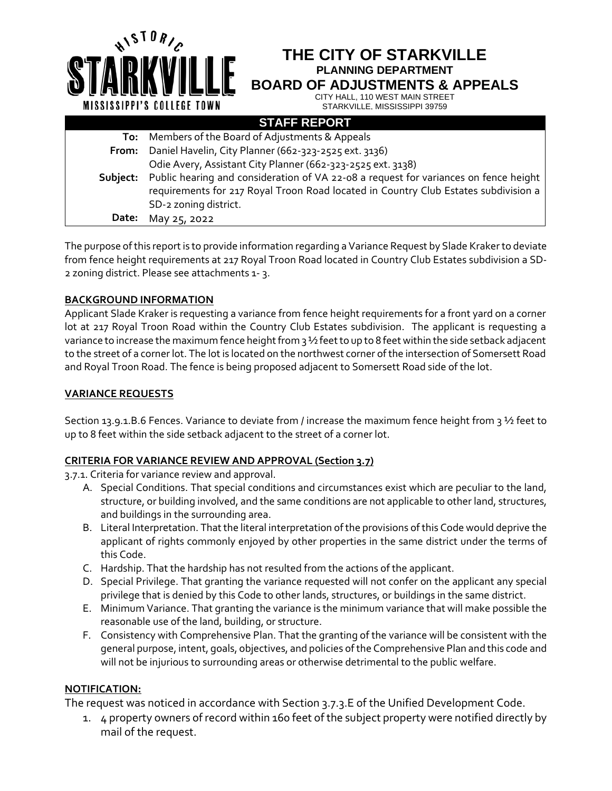**THE CITY OF STARKVILLE PLANNING DEPARTMENT**

**BOARD OF ADJUSTMENTS & APPEALS**

CITY HALL, 110 WEST MAIN STREET STARKVILLE, MISSISSIPPI 39759

| <b>STAFF REPORT</b> |                                                                                                                                                                                                      |
|---------------------|------------------------------------------------------------------------------------------------------------------------------------------------------------------------------------------------------|
| To:                 | Members of the Board of Adjustments & Appeals                                                                                                                                                        |
| From:               | Daniel Havelin, City Planner (662-323-2525 ext. 3136)                                                                                                                                                |
|                     | Odie Avery, Assistant City Planner (662-323-2525 ext. 3138)                                                                                                                                          |
| Subiect:            | Public hearing and consideration of VA 22-08 a request for variances on fence height<br>requirements for 217 Royal Troon Road located in Country Club Estates subdivision a<br>SD-2 zoning district. |
| Date:               | May 25, 2022                                                                                                                                                                                         |
|                     |                                                                                                                                                                                                      |

The purpose of this report is to provide information regarding a Variance Request by Slade Krakerto deviate from fence height requirements at 217 Royal Troon Road located in Country Club Estates subdivision a SD-2 zoning district. Please see attachments 1- 3.

## **BACKGROUND INFORMATION**

 $A$ 19 $10R$ / $c$ 

MISSISSIPPI'S COLLEGE TOWN

Applicant Slade Kraker is requesting a variance from fence height requirements for a front yard on a corner lot at 217 Royal Troon Road within the Country Club Estates subdivision. The applicant is requesting a variance to increase the maximum fence height from 3 1/2 feet to up to 8 feet within the side setback adjacent to the street of a corner lot. The lot is located on the northwest corner of the intersection of Somersett Road and Royal Troon Road. The fence is being proposed adjacent to Somersett Road side of the lot.

#### **VARIANCE REQUESTS**

Section 13.9.1.B.6 Fences. Variance to deviate from / increase the maximum fence height from 3 ½ feet to up to 8 feet within the side setback adjacent to the street of a corner lot.

#### **CRITERIA FOR VARIANCE REVIEW AND APPROVAL (Section 3.7)**

3.7.1. Criteria for variance review and approval.

- A. Special Conditions. That special conditions and circumstances exist which are peculiar to the land, structure, or building involved, and the same conditions are not applicable to other land, structures, and buildings in the surrounding area.
- B. Literal Interpretation. That the literal interpretation of the provisions of this Code would deprive the applicant of rights commonly enjoyed by other properties in the same district under the terms of this Code.
- C. Hardship. That the hardship has not resulted from the actions of the applicant.
- D. Special Privilege. That granting the variance requested will not confer on the applicant any special privilege that is denied by this Code to other lands, structures, or buildings in the same district.
- E. Minimum Variance. That granting the variance is the minimum variance that will make possible the reasonable use of the land, building, or structure.
- F. Consistency with Comprehensive Plan. That the granting of the variance will be consistent with the general purpose, intent, goals, objectives, and policies of the Comprehensive Plan and this code and will not be injurious to surrounding areas or otherwise detrimental to the public welfare.

## **NOTIFICATION:**

The request was noticed in accordance with Section 3.7.3.E of the Unified Development Code.

1. 4 property owners of record within 160 feet of the subject property were notified directly by mail of the request.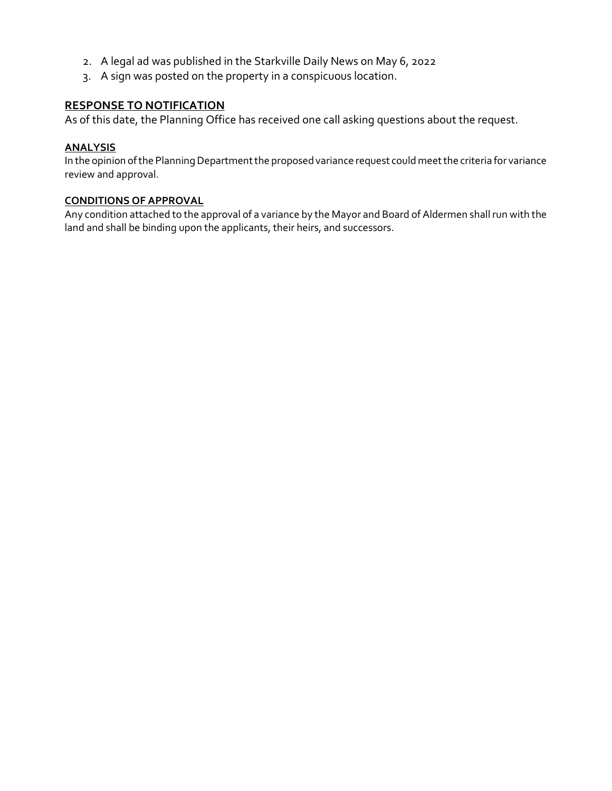- 2. A legal ad was published in the Starkville Daily News on May 6, 2022
- 3. A sign was posted on the property in a conspicuous location.

## **RESPONSE TO NOTIFICATION**

As of this date, the Planning Office has received one call asking questions about the request.

#### **ANALYSIS**

In the opinion of the Planning Department the proposed variance request could meet the criteria for variance review and approval.

#### **CONDITIONS OF APPROVAL**

Any condition attached to the approval of a variance by the Mayor and Board of Aldermen shall run with the land and shall be binding upon the applicants, their heirs, and successors.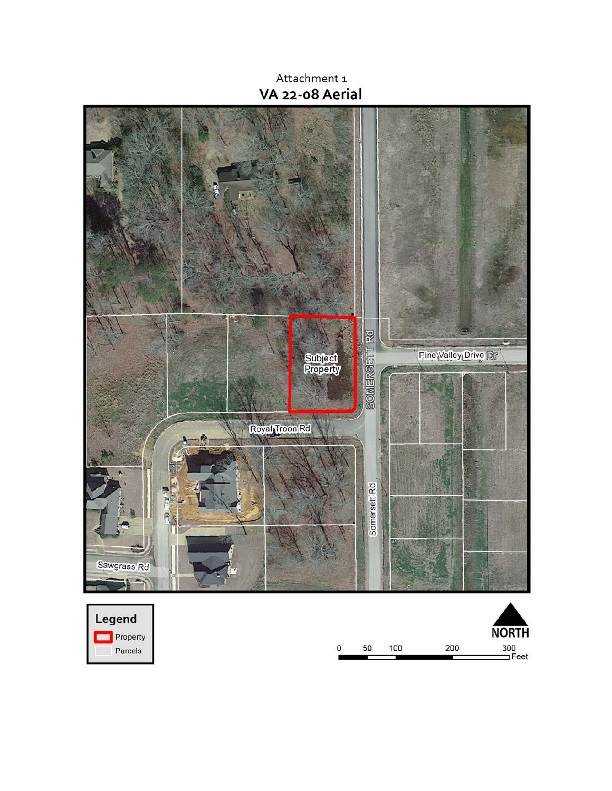Attachment 1 VA 22-08 Aerial

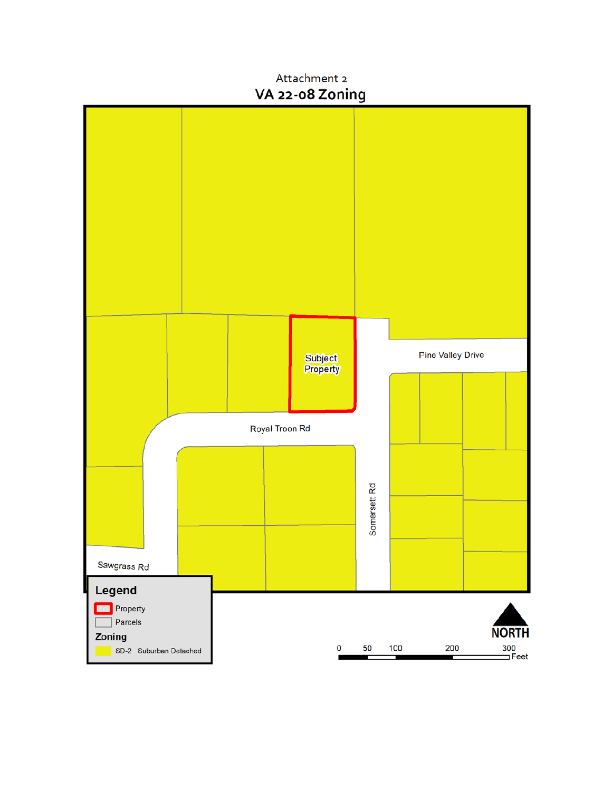# Attachment 2 VA 22-08 Zoning